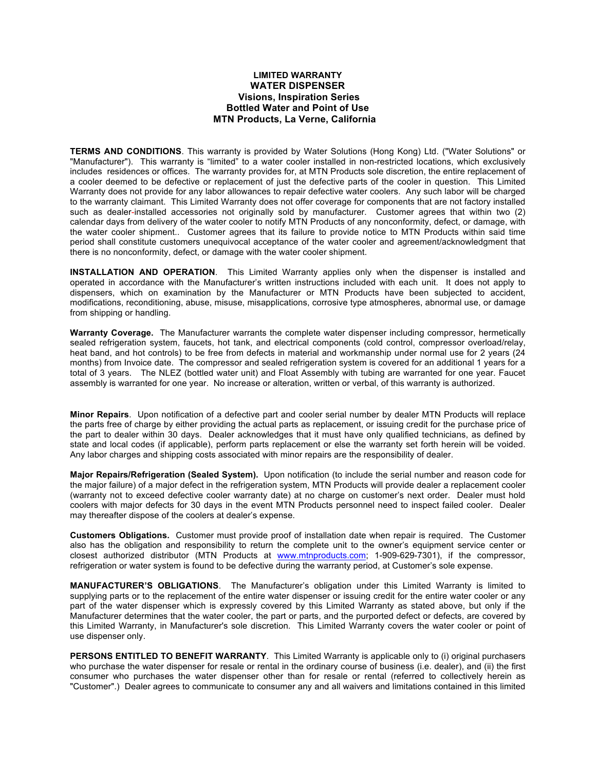## **LIMITED WARRANTY WATER DISPENSER Visions, Inspiration Series Bottled Water and Point of Use MTN Products, La Verne, California**

**TERMS AND CONDITIONS**. This warranty is provided by Water Solutions (Hong Kong) Ltd. ("Water Solutions" or "Manufacturer"). This warranty is "limited" to a water cooler installed in non-restricted locations, which exclusively includes residences or offices. The warranty provides for, at MTN Products sole discretion, the entire replacement of a cooler deemed to be defective or replacement of just the defective parts of the cooler in question. This Limited Warranty does not provide for any labor allowances to repair defective water coolers. Any such labor will be charged to the warranty claimant. This Limited Warranty does not offer coverage for components that are not factory installed such as dealer-installed accessories not originally sold by manufacturer. Customer agrees that within two (2) calendar days from delivery of the water cooler to notify MTN Products of any nonconformity, defect, or damage, with the water cooler shipment.. Customer agrees that its failure to provide notice to MTN Products within said time period shall constitute customers unequivocal acceptance of the water cooler and agreement/acknowledgment that there is no nonconformity, defect, or damage with the water cooler shipment.

**INSTALLATION AND OPERATION**. This Limited Warranty applies only when the dispenser is installed and operated in accordance with the Manufacturer's written instructions included with each unit. It does not apply to dispensers, which on examination by the Manufacturer or MTN Products have been subjected to accident, modifications, reconditioning, abuse, misuse, misapplications, corrosive type atmospheres, abnormal use, or damage from shipping or handling.

**Warranty Coverage.** The Manufacturer warrants the complete water dispenser including compressor, hermetically sealed refrigeration system, faucets, hot tank, and electrical components (cold control, compressor overload/relay, heat band, and hot controls) to be free from defects in material and workmanship under normal use for 2 years (24 months) from Invoice date. The compressor and sealed refrigeration system is covered for an additional 1 years for a total of 3 years. The NLEZ (bottled water unit) and Float Assembly with tubing are warranted for one year. Faucet assembly is warranted for one year. No increase or alteration, written or verbal, of this warranty is authorized.

**Minor Repairs**. Upon notification of a defective part and cooler serial number by dealer MTN Products will replace the parts free of charge by either providing the actual parts as replacement, or issuing credit for the purchase price of the part to dealer within 30 days. Dealer acknowledges that it must have only qualified technicians, as defined by state and local codes (if applicable), perform parts replacement or else the warranty set forth herein will be voided. Any labor charges and shipping costs associated with minor repairs are the responsibility of dealer.

**Major Repairs/Refrigeration (Sealed System).** Upon notification (to include the serial number and reason code for the major failure) of a major defect in the refrigeration system, MTN Products will provide dealer a replacement cooler (warranty not to exceed defective cooler warranty date) at no charge on customer's next order. Dealer must hold coolers with major defects for 30 days in the event MTN Products personnel need to inspect failed cooler. Dealer may thereafter dispose of the coolers at dealer's expense.

**Customers Obligations.** Customer must provide proof of installation date when repair is required. The Customer also has the obligation and responsibility to return the complete unit to the owner's equipment service center or closest authorized distributor (MTN Products at www.mtnproducts.com; 1-909-629-7301), if the compressor, refrigeration or water system is found to be defective during the warranty period, at Customer's sole expense.

**MANUFACTURER'S OBLIGATIONS**. The Manufacturer's obligation under this Limited Warranty is limited to supplying parts or to the replacement of the entire water dispenser or issuing credit for the entire water cooler or any part of the water dispenser which is expressly covered by this Limited Warranty as stated above, but only if the Manufacturer determines that the water cooler, the part or parts, and the purported defect or defects, are covered by this Limited Warranty, in Manufacturer's sole discretion. This Limited Warranty covers the water cooler or point of use dispenser only.

**PERSONS ENTITLED TO BENEFIT WARRANTY**. This Limited Warranty is applicable only to (i) original purchasers who purchase the water dispenser for resale or rental in the ordinary course of business (i.e. dealer), and (ii) the first consumer who purchases the water dispenser other than for resale or rental (referred to collectively herein as "Customer".) Dealer agrees to communicate to consumer any and all waivers and limitations contained in this limited